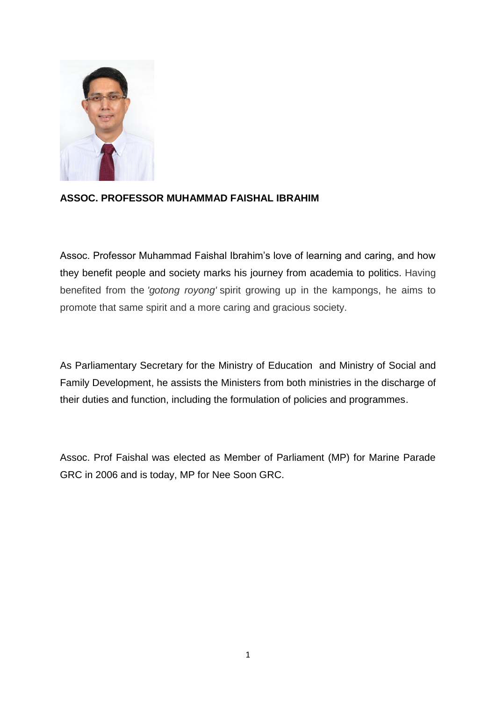

## **ASSOC. PROFESSOR MUHAMMAD FAISHAL IBRAHIM**

Assoc. Professor Muhammad Faishal Ibrahim's love of learning and caring, and how they benefit people and society marks his journey from academia to politics. Having benefited from the *'gotong royong'* spirit growing up in the kampongs, he aims to promote that same spirit and a more caring and gracious society.

As Parliamentary Secretary for the Ministry of Education and Ministry of Social and Family Development, he assists the Ministers from both ministries in the discharge of their duties and function, including the formulation of policies and programmes.

Assoc. Prof Faishal was elected as Member of Parliament (MP) for Marine Parade GRC in 2006 and is today, MP for Nee Soon GRC.